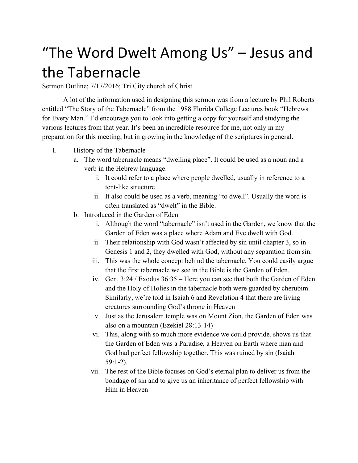## "The Word Dwelt Among Us" – Jesus and the Tabernacle

Sermon Outline; 7/17/2016; Tri City church of Christ

A lot of the information used in designing this sermon was from a lecture by Phil Roberts entitled "The Story of the Tabernacle" from the 1988 Florida College Lectures book "Hebrews for Every Man." I'd encourage you to look into getting a copy for yourself and studying the various lectures from that year. It's been an incredible resource for me, not only in my preparation for this meeting, but in growing in the knowledge of the scriptures in general.

- I. History of the Tabernacle
	- a. The word tabernacle means "dwelling place". It could be used as a noun and a verb in the Hebrew language.
		- i. It could refer to a place where people dwelled, usually in reference to a tent-like structure
		- ii. It also could be used as a verb, meaning "to dwell". Usually the word is often translated as "dwelt" in the Bible.
	- b. Introduced in the Garden of Eden
		- i. Although the word "tabernacle" isn't used in the Garden, we know that the Garden of Eden was a place where Adam and Eve dwelt with God.
		- ii. Their relationship with God wasn't affected by sin until chapter 3, so in Genesis 1 and 2, they dwelled with God, without any separation from sin.
		- iii. This was the whole concept behind the tabernacle. You could easily argue that the first tabernacle we see in the Bible is the Garden of Eden.
		- iv. Gen. 3:24 / Exodus 36:35 Here you can see that both the Garden of Eden and the Holy of Holies in the tabernacle both were guarded by cherubim. Similarly, we're told in Isaiah 6 and Revelation 4 that there are living creatures surrounding God's throne in Heaven
		- v. Just as the Jerusalem temple was on Mount Zion, the Garden of Eden was also on a mountain (Ezekiel 28:13-14)
		- vi. This, along with so much more evidence we could provide, shows us that the Garden of Eden was a Paradise, a Heaven on Earth where man and God had perfect fellowship together. This was ruined by sin (Isaiah  $59:1-2$ ).
		- vii. The rest of the Bible focuses on God's eternal plan to deliver us from the bondage of sin and to give us an inheritance of perfect fellowship with Him in Heaven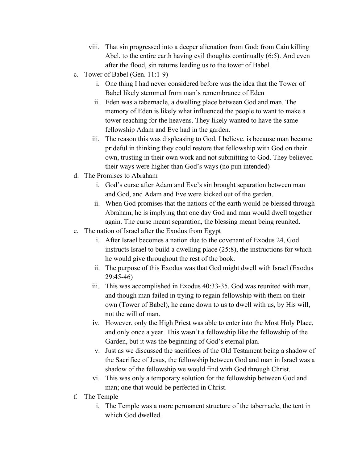- viii. That sin progressed into a deeper alienation from God; from Cain killing Abel, to the entire earth having evil thoughts continually (6:5). And even after the flood, sin returns leading us to the tower of Babel.
- c. Tower of Babel (Gen.  $11:1-9$ )
	- i. One thing I had never considered before was the idea that the Tower of Babel likely stemmed from man's remembrance of Eden
	- ii. Eden was a tabernacle, a dwelling place between God and man. The memory of Eden is likely what influenced the people to want to make a tower reaching for the heavens. They likely wanted to have the same fellowship Adam and Eve had in the garden.
	- iii. The reason this was displeasing to God, I believe, is because man became prideful in thinking they could restore that fellowship with God on their own, trusting in their own work and not submitting to God. They believed their ways were higher than God's ways (no pun intended)
- d. The Promises to Abraham
	- i. God's curse after Adam and Eve's sin brought separation between man and God, and Adam and Eve were kicked out of the garden.
	- ii. When God promises that the nations of the earth would be blessed through Abraham, he is implying that one day God and man would dwell together again. The curse meant separation, the blessing meant being reunited.
- e. The nation of Israel after the Exodus from Egypt
	- i. After Israel becomes a nation due to the covenant of Exodus 24, God instructs Israel to build a dwelling place (25:8), the instructions for which he would give throughout the rest of the book.
	- ii. The purpose of this Exodus was that God might dwell with Israel (Exodus 29:4546)
	- iii. This was accomplished in Exodus 40:33-35. God was reunited with man, and though man failed in trying to regain fellowship with them on their own (Tower of Babel), he came down to us to dwell with us, by His will, not the will of man.
	- iv. However, only the High Priest was able to enter into the Most Holy Place, and only once a year. This wasn't a fellowship like the fellowship of the Garden, but it was the beginning of God's eternal plan.
	- v. Just as we discussed the sacrifices of the Old Testament being a shadow of the Sacrifice of Jesus, the fellowship between God and man in Israel was a shadow of the fellowship we would find with God through Christ.
	- vi. This was only a temporary solution for the fellowship between God and man; one that would be perfected in Christ.
- f. The Temple
	- i. The Temple was a more permanent structure of the tabernacle, the tent in which God dwelled.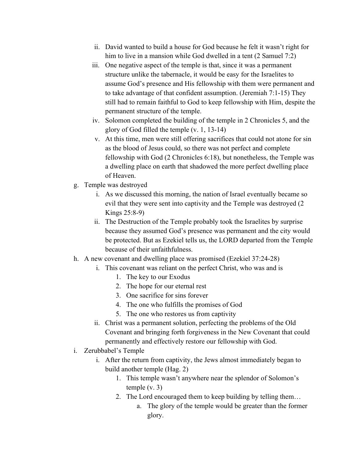- ii. David wanted to build a house for God because he felt it wasn't right for him to live in a mansion while God dwelled in a tent (2 Samuel 7:2)
- iii. One negative aspect of the temple is that, since it was a permanent structure unlike the tabernacle, it would be easy for the Israelites to assume God's presence and His fellowship with them were permanent and to take advantage of that confident assumption. (Jeremiah  $7:1-15$ ) They still had to remain faithful to God to keep fellowship with Him, despite the permanent structure of the temple.
- iv. Solomon completed the building of the temple in 2 Chronicles 5, and the glory of God filled the temple  $(v, 1, 13-14)$
- v. At this time, men were still offering sacrifices that could not atone for sin as the blood of Jesus could, so there was not perfect and complete fellowship with God (2 Chronicles 6:18), but nonetheless, the Temple was a dwelling place on earth that shadowed the more perfect dwelling place of Heaven.
- g. Temple was destroyed
	- i. As we discussed this morning, the nation of Israel eventually became so evil that they were sent into captivity and the Temple was destroyed (2 Kings  $25:8-9$ )
	- ii. The Destruction of the Temple probably took the Israelites by surprise because they assumed God's presence was permanent and the city would be protected. But as Ezekiel tells us, the LORD departed from the Temple because of their unfaithfulness.
- h. A new covenant and dwelling place was promised (Ezekiel 37:24-28)
	- i. This covenant was reliant on the perfect Christ, who was and is
		- 1. The key to our Exodus
		- 2. The hope for our eternal rest
		- 3. One sacrifice for sins forever
		- 4. The one who fulfills the promises of God
		- 5. The one who restores us from captivity
		- ii. Christ was a permanent solution, perfecting the problems of the Old Covenant and bringing forth forgiveness in the New Covenant that could permanently and effectively restore our fellowship with God.
- i. Zerubbabel's Temple
	- i. After the return from captivity, the Jews almost immediately began to build another temple (Hag. 2)
		- 1. This temple wasn't anywhere near the splendor of Solomon's temple (v. 3)
		- 2. The Lord encouraged them to keep building by telling them…
			- a. The glory of the temple would be greater than the former glory.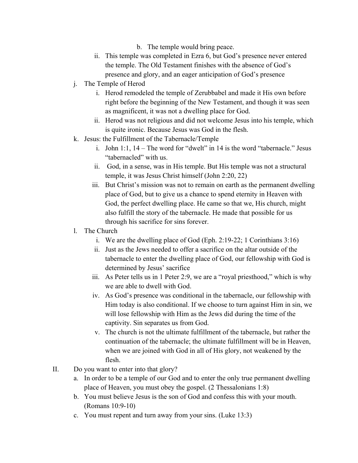- b. The temple would bring peace.
- ii. This temple was completed in Ezra 6, but God's presence never entered the temple. The Old Testament finishes with the absence of God's presence and glory, and an eager anticipation of God's presence
- j. The Temple of Herod
	- i. Herod remodeled the temple of Zerubbabel and made it His own before right before the beginning of the New Testament, and though it was seen as magnificent, it was not a dwelling place for God.
	- ii. Herod was not religious and did not welcome Jesus into his temple, which is quite ironic. Because Jesus was God in the flesh.
- k. Jesus: the Fulfillment of the Tabernacle/Temple
	- i. John 1:1, 14 The word for "dwelt" in 14 is the word "tabernacle." Jesus "tabernacled" with us.
	- ii. God, in a sense, was in His temple. But His temple was not a structural temple, it was Jesus Christ himself (John 2:20, 22)
	- iii. But Christ's mission was not to remain on earth as the permanent dwelling place of God, but to give us a chance to spend eternity in Heaven with God, the perfect dwelling place. He came so that we, His church, might also fulfill the story of the tabernacle. He made that possible for us through his sacrifice for sins forever.
- l. The Church
	- i. We are the dwelling place of God (Eph. 2:19-22; 1 Corinthians  $3:16$ )
	- ii. Just as the Jews needed to offer a sacrifice on the altar outside of the tabernacle to enter the dwelling place of God, our fellowship with God is determined by Jesus' sacrifice
	- iii. As Peter tells us in 1 Peter 2:9, we are a "royal priesthood," which is why we are able to dwell with God.
	- iv. As God's presence was conditional in the tabernacle, our fellowship with Him today is also conditional. If we choose to turn against Him in sin, we will lose fellowship with Him as the Jews did during the time of the captivity. Sin separates us from God.
	- v. The church is not the ultimate fulfillment of the tabernacle, but rather the continuation of the tabernacle; the ultimate fulfillment will be in Heaven, when we are joined with God in all of His glory, not weakened by the flesh.
- II. Do you want to enter into that glory?
	- a. In order to be a temple of our God and to enter the only true permanent dwelling place of Heaven, you must obey the gospel. (2 Thessalonians 1:8)
	- b. You must believe Jesus is the son of God and confess this with your mouth.  $(Romans 10:9-10)$
	- c. You must repent and turn away from your sins. (Luke 13:3)